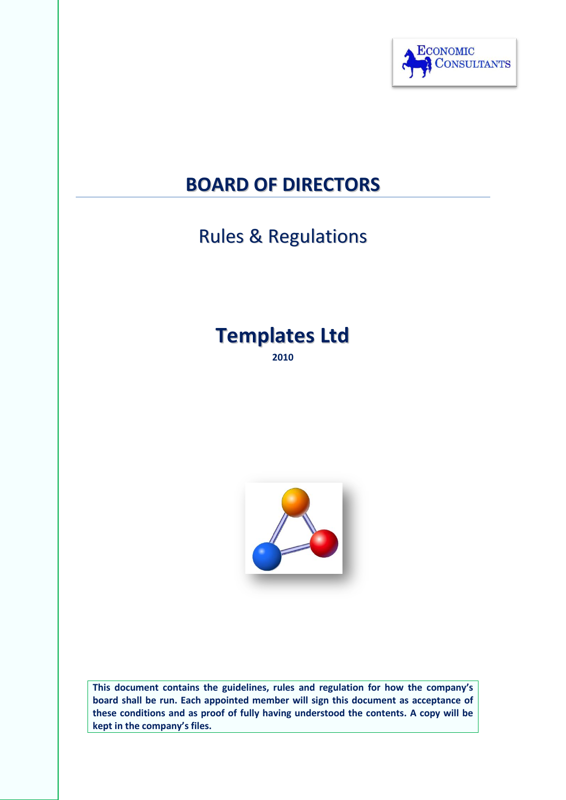

## **BOARD OF DIRECTORS**

# Rules & Regulations

# **Templates Ltd**

**2010**



**This document contains the guidelines, rules and regulation for how the company's board shall be run. Each appointed member will sign this document as acceptance of these conditions and as proof of fully having understood the contents. A copy will be kept in the company's files.**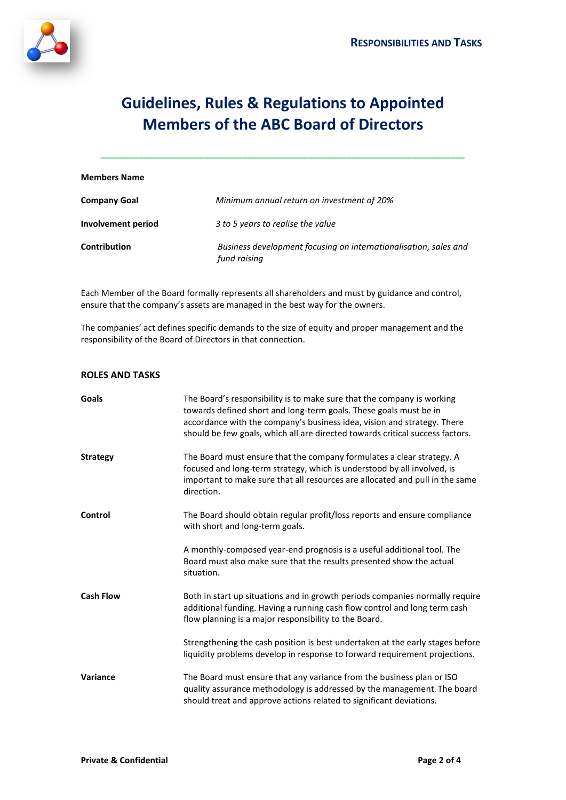

### **Guidelines, Rules & Regulations to Appointed Members of the ABC Board of Directors**

**\_\_\_\_\_\_\_\_\_\_\_\_\_\_\_\_\_\_\_\_\_\_\_\_\_\_\_\_\_\_\_\_\_\_\_\_\_\_\_\_\_\_\_\_\_\_\_\_\_\_\_\_\_\_\_\_\_\_\_\_\_\_\_\_\_\_\_\_\_\_\_\_\_\_\_\_\_**

| <b>Members Name</b> |                                                                                  |
|---------------------|----------------------------------------------------------------------------------|
| <b>Company Goal</b> | Minimum annual return on investment of 20%                                       |
| Involvement period  | 3 to 5 years to realise the value                                                |
| <b>Contribution</b> | Business development focusing on internationalisation, sales and<br>fund raising |

Each Member of the Board formally represents all shareholders and must by guidance and control, ensure that the company's assets are managed in the best way for the owners.

The companies' act defines specific demands to the size of equity and proper management and the responsibility of the Board of Directors in that connection.

#### **ROLES AND TASKS**

| Goals            | The Board's responsibility is to make sure that the company is working<br>towards defined short and long-term goals. These goals must be in<br>accordance with the company's business idea, vision and strategy. There<br>should be few goals, which all are directed towards critical success factors. |
|------------------|---------------------------------------------------------------------------------------------------------------------------------------------------------------------------------------------------------------------------------------------------------------------------------------------------------|
| <b>Strategy</b>  | The Board must ensure that the company formulates a clear strategy. A<br>focused and long-term strategy, which is understood by all involved, is<br>important to make sure that all resources are allocated and pull in the same<br>direction.                                                          |
| Control          | The Board should obtain regular profit/loss reports and ensure compliance<br>with short and long-term goals.                                                                                                                                                                                            |
|                  | A monthly-composed year-end prognosis is a useful additional tool. The<br>Board must also make sure that the results presented show the actual<br>situation.                                                                                                                                            |
| <b>Cash Flow</b> | Both in start up situations and in growth periods companies normally require<br>additional funding. Having a running cash flow control and long term cash<br>flow planning is a major responsibility to the Board.                                                                                      |
|                  | Strengthening the cash position is best undertaken at the early stages before<br>liquidity problems develop in response to forward requirement projections.                                                                                                                                             |
| Variance         | The Board must ensure that any variance from the business plan or ISO<br>quality assurance methodology is addressed by the management. The board<br>should treat and approve actions related to significant deviations.                                                                                 |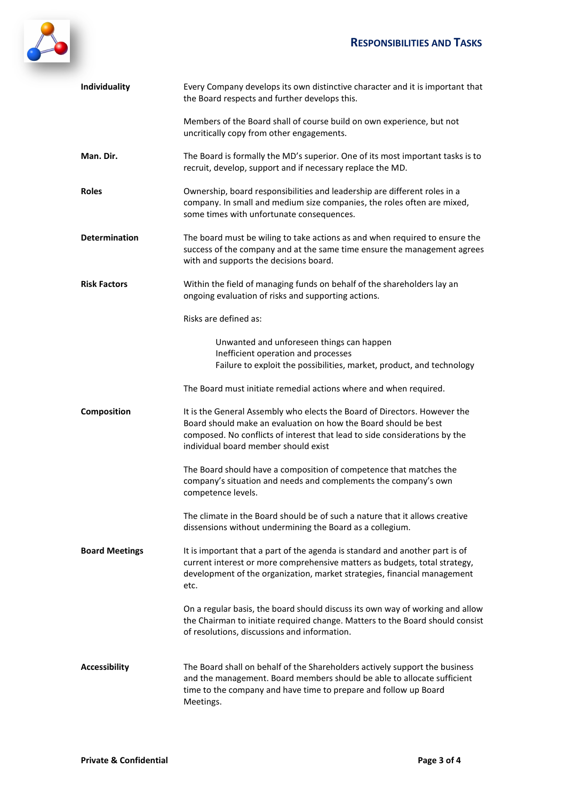

| Individuality         | Every Company develops its own distinctive character and it is important that<br>the Board respects and further develops this.                                                                                                                                     |
|-----------------------|--------------------------------------------------------------------------------------------------------------------------------------------------------------------------------------------------------------------------------------------------------------------|
|                       | Members of the Board shall of course build on own experience, but not<br>uncritically copy from other engagements.                                                                                                                                                 |
| Man. Dir.             | The Board is formally the MD's superior. One of its most important tasks is to<br>recruit, develop, support and if necessary replace the MD.                                                                                                                       |
| <b>Roles</b>          | Ownership, board responsibilities and leadership are different roles in a<br>company. In small and medium size companies, the roles often are mixed,<br>some times with unfortunate consequences.                                                                  |
| <b>Determination</b>  | The board must be wiling to take actions as and when required to ensure the<br>success of the company and at the same time ensure the management agrees<br>with and supports the decisions board.                                                                  |
| <b>Risk Factors</b>   | Within the field of managing funds on behalf of the shareholders lay an<br>ongoing evaluation of risks and supporting actions.                                                                                                                                     |
|                       | Risks are defined as:                                                                                                                                                                                                                                              |
|                       | Unwanted and unforeseen things can happen<br>Inefficient operation and processes<br>Failure to exploit the possibilities, market, product, and technology                                                                                                          |
|                       | The Board must initiate remedial actions where and when required.                                                                                                                                                                                                  |
| Composition           | It is the General Assembly who elects the Board of Directors. However the<br>Board should make an evaluation on how the Board should be best<br>composed. No conflicts of interest that lead to side considerations by the<br>individual board member should exist |
|                       | The Board should have a composition of competence that matches the<br>company's situation and needs and complements the company's own<br>competence levels.                                                                                                        |
|                       | The climate in the Board should be of such a nature that it allows creative<br>dissensions without undermining the Board as a collegium.                                                                                                                           |
| <b>Board Meetings</b> | It is important that a part of the agenda is standard and another part is of<br>current interest or more comprehensive matters as budgets, total strategy,<br>development of the organization, market strategies, financial management<br>etc.                     |
|                       | On a regular basis, the board should discuss its own way of working and allow<br>the Chairman to initiate required change. Matters to the Board should consist<br>of resolutions, discussions and information.                                                     |
| <b>Accessibility</b>  | The Board shall on behalf of the Shareholders actively support the business<br>and the management. Board members should be able to allocate sufficient<br>time to the company and have time to prepare and follow up Board<br>Meetings.                            |